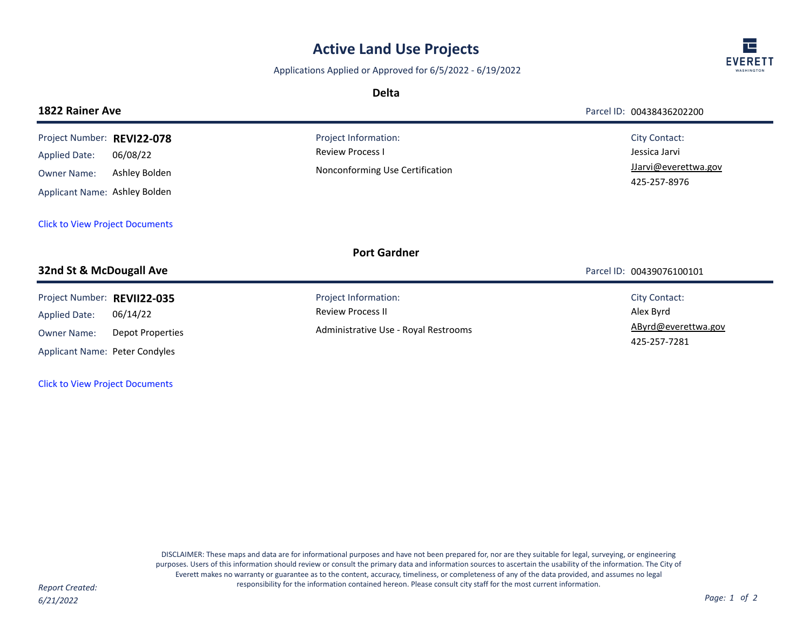## **Active Land Use Projects**

Applications Applied or Approved for 6/5/2022 - 6/19/2022

**Delta**

| <b>EVERETT</b><br>WASHINGTON |
|------------------------------|

| <b>1822 Rainer Ave</b>                                                                                      |                                     |                                                                                          | Parcel ID: 00438436202200                                              |
|-------------------------------------------------------------------------------------------------------------|-------------------------------------|------------------------------------------------------------------------------------------|------------------------------------------------------------------------|
| Project Number: REVI22-078<br><b>Applied Date:</b><br><b>Owner Name:</b><br>Applicant Name: Ashley Bolden   | 06/08/22<br>Ashley Bolden           | Project Information:<br><b>Review Process I</b><br>Nonconforming Use Certification       | City Contact:<br>Jessica Jarvi<br>JJarvi@everettwa.gov<br>425-257-8976 |
| <b>Click to View Project Documents</b>                                                                      |                                     |                                                                                          |                                                                        |
|                                                                                                             |                                     | <b>Port Gardner</b>                                                                      |                                                                        |
| 32nd St & McDougall Ave                                                                                     |                                     |                                                                                          | Parcel ID: 00439076100101                                              |
| Project Number: REVII22-035<br><b>Applied Date:</b><br><b>Owner Name:</b><br>Applicant Name: Peter Condyles | 06/14/22<br><b>Depot Properties</b> | Project Information:<br><b>Review Process II</b><br>Administrative Use - Royal Restrooms | City Contact:<br>Alex Byrd<br>AByrd@everettwa.gov<br>425-257-7281      |

[Click to View Project Documents](https://pw.everettwa.gov/eTRAKiT/Search/project.aspx?activityNo=REVII22-035)

DISCLAIMER: These maps and data are for informational purposes and have not been prepared for, nor are they suitable for legal, surveying, or engineering purposes. Users of this information should review or consult the primary data and information sources to ascertain the usability of the information. The City of Everett makes no warranty or guarantee as to the content, accuracy, timeliness, or completeness of any of the data provided, and assumes no legal responsibility for the information contained hereon. Please consult city staff for the most current information. *Report Created:*